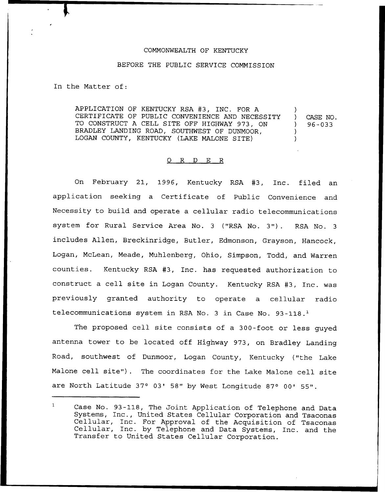## COMMONWEALTH OF KENTUCKY

## BEFORE THE PUBLIC SERVICE COMMISSION

In the Matter of:

APPLICATION OF KENTUCKY RSA #3, INC. FOR A CERTIFICATE OF PUBLIC CONVENIENCE AND NECESSITY TO CONSTRUCT <sup>A</sup> CELL SITE OFF HIGHWAY 973, ON BRADLEY LANDING ROAD, SOUTHWEST OF DUNMOOR, LOGAN COUNTY, KENTUCKY (LAKE MALONE SITE) ) ) CASE NO. ) 96-033 ) )

## 0 R <sup>D</sup> E R

On February 21, 1996, Kentucky RSA #3, Inc. filed an application seeking a Certificate of Public Convenience and Necessity to build and operate a cellular radio telecommunications system for Rural Service Area No. <sup>3</sup> ("RSA No. 3"). RSA No. <sup>3</sup> includes Allen, Breckinridge, Butler, Edmonson, Grayson, Hancock, Logan, McLean, Meade, Muhlenberg, Ohio, Simpson, Todd, and Warren counties. Kentucky RSA 43, Inc. has requested authorization to construct a cell site in Logan County. Kentucky RSA #3, Inc. was previously granted authority to operate a cellular radio telecommunications system in RSA No. 3 in Case No. 93-118.<sup>1</sup>

The proposed cell site consists of a 300-foot or less guyed antenna tower to be located off Highway 973, on Bradley Landing Road, southwest of Dunmoor, Logan County, Kentucky ("the Lake Malone cell site"). The coordinates for the Lake Malone cell site are North Latitude 37° 03' 58" by West Longitude 87° 00' 55".

 $\mathbf{1}$ Case No. 93-118, The Joint Application of Telephone and Data<br>Systems, Inc., United States Cellular Corporation and Tsaconas Cellular, Inc. For Approval of the Acquisition of Tsaconas<br>Cellular, Inc. by Telephone and Data Systems, Inc. and the<br>Transfer to United States Cellular Corporation.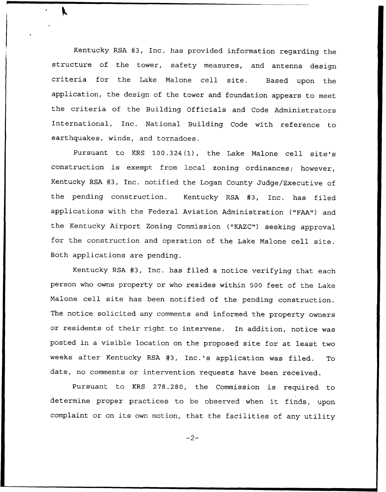Kentucky RSA 43, Inc. has provided information regarding the structure of the tower, safety measures, and antenna design criteria for the Lake Malone cell site. Based upon the application, the design of the tower and foundation appears to meet the criteria of the Building Officials and Code Administrators International, Inc. National Building Code with reference to earthquakes, winds, and tornadoes.

Pursuant to KRS 100.324(1), the Lake Malone cell site's construction is exempt from local zoning ordinances; however, Kentucky RSA #3, Inc. notified the Logan County Judge/Executive of the pending construction. Kentucky RSA #3, Inc. has filed applications with the Federal Aviation Administration ("FAA") and the Kentucky Airport Zoning Commission ("KAZC") seeking approval for the construction and operation of the Lake Malone cell site. Both applications are pending.

Kentucky RSA #3, Inc. has filed a notice verifying that each person who owns property or who resides within 500 feet of the Lake Malone cell site has been notified of the pending construction. The notice solicited any comments and informed the property owners or residents of their right to intervene. In addition, notice was posted in a visible location on the proposed site for at least two weeks after Kentucky RSA 43, Inc.'s application was filed. To date, no comments or intervention requests have been received.

Pursuant to KRS 278.280, the Commission is required to determine proper practices to be observed when it finds, upon. complaint or on its own motion, that the facilities of any utility

 $-2-$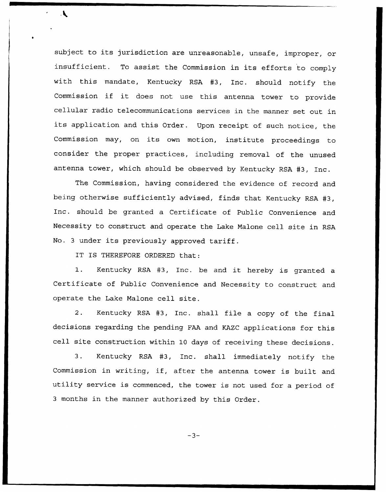subject to its jurisdiction are unreasonable, unsafe, improper, or insufficient. To assist the Commission in its efforts to comply with this mandate, Kentucky RSA #3, Inc. should notify the Commission if it does not use this antenna tower to provide cellular radio telecommunications services in the manner set out in its application and this Order. Upon receipt of such notice, the Commission may, on its own motion, institute proceedings to consider the proper practices, including removal of the unused antenna tower, which should be observed by Kentucky RSA #3, Inc.

The Commission, having considered the evidence of record and being otherwise sufficiently advised, finds that Kentucky RSA #3, Inc. should be granted a Certificate of Public Convenience and Necessity to construct and operate the Lake Malone cell site in RSA No. <sup>3</sup> under its previously approved tariff.

IT IS THEREFORE ORDERED that:

 $\mathbf{r}$ 

1. Kentucky RSA #3, Inc. be and it hereby is granted a Certificate of Public Convenience and Necessity to construct and operate the Lake Malone cell site.

2. Kentucky RSA #3, Inc. shall file a copy of the final decisions regarding the pending FAA and KAZC applications for this cell site construction within 10 days of receiving these decisions.

3. Kentucky RSA #3, Inc. shall immediately notify the Commission in writing, if, after the antenna tower is built and utility service is commenced, the tower is not used for a period of <sup>3</sup> months in the manner authorized by this Order.

 $-3-$